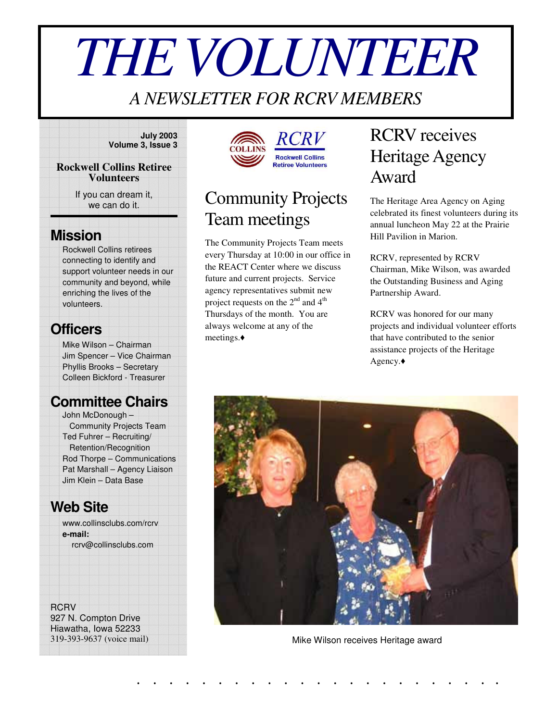# *THEVOLUNTEER*

## *A NEWSLETTER FOR RCRV MEMBERS*

#### **July 2003 Volume 3, Issue 3**

#### **Rockwell Collins Retiree Volunteers**

If you can dream it, we can do it.

### **Mission**

Rockwell Collins retirees connecting to identify and support volunteer needs in our community and beyond, while enriching the lives of the volunteers.

## **Officers**

Mike Wilson – Chairman Jim Spencer – Vice Chairman Phyllis Brooks – Secretary Colleen Bickford - Treasurer

## **Committee Chairs**

John McDonough – Community Projects Team Ted Fuhrer – Recruiting/ Retention/Recognition Rod Thorpe – Communications Pat Marshall – Agency Liaison Jim Klein – Data Base

## **Web Site**

www.collinsclubs.com/rcrv **e-mail:** rcrv@collinsclubs.com

**RCRV** 927 N. Compton Drive Hiawatha, Iowa 52233 319-393-9637 (voice mail)





## Community Projects Team meetings

The Community Projects Team meets every Thursday at 10:00 in our office in the REACT Center where we discuss future and current projects. Service agency representatives submit new project requests on the  $2^{nd}$  and  $4^{th}$ Thursdays of the month. You are always welcome at any of the meetings.

## RCRV receives Heritage Agency Award

The Heritage Area Agency on Aging celebrated its finest volunteers during its annual luncheon May 22 at the Prairie Hill Pavilion in Marion.

RCRV, represented by RCRV Chairman, Mike Wilson, was awarded the Outstanding Business and Aging Partnership Award.

RCRV was honored for our many projects and individual volunteer efforts that have contributed to the senior assistance projects of the Heritage Agency.



Mike Wilson receives Heritage award

. . . . . . . . . . . . . . . . . . . . . . .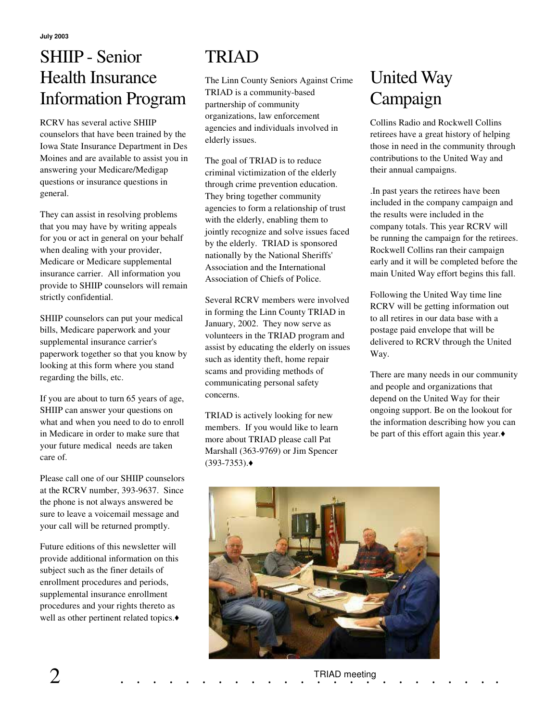## SHIIP - Senior Health Insurance Information Program

RCRV has several active SHIIP counselors that have been trained by the Iowa State Insurance Department in Des Moines and are available to assist you in answering your Medicare/Medigap questions or insurance questions in general.

They can assist in resolving problems that you may have by writing appeals for you or act in general on your behalf when dealing with your provider, Medicare or Medicare supplemental insurance carrier. All information you provide to SHIIP counselors will remain strictly confidential.

SHIIP counselors can put your medical bills, Medicare paperwork and your supplemental insurance carrier's paperwork together so that you know by looking at this form where you stand regarding the bills, etc.

If you are about to turn 65 years of age, SHIIP can answer your questions on what and when you need to do to enroll in Medicare in order to make sure that your future medical needs are taken care of.

Please call one of our SHIIP counselors at the RCRV number, 393-9637. Since the phone is not always answered be sure to leave a voicemail message and your call will be returned promptly.

Future editions of this newsletter will provide additional information on this subject such as the finer details of enrollment procedures and periods, supplemental insurance enrollment procedures and your rights thereto as well as other pertinent related topics.

## TRIAD

The Linn County Seniors Against Crime TRIAD is a community-based partnership of community organizations, law enforcement agencies and individuals involved in elderly issues.

The goal of TRIAD is to reduce criminal victimization of the elderly through crime prevention education. They bring together community agencies to form a relationship of trust with the elderly, enabling them to jointly recognize and solve issues faced by the elderly. TRIAD is sponsored nationally by the National Sheriffs' Association and the International Association of Chiefs of Police.

Several RCRV members were involved in forming the Linn County TRIAD in January, 2002. They now serve as volunteers in the TRIAD program and assist by educating the elderly on issues such as identity theft, home repair scams and providing methods of communicating personal safety concerns.

TRIAD is actively looking for new members. If you would like to learn more about TRIAD please call Pat Marshall (363-9769) or Jim Spencer  $(393 - 7353)$ .

# United Way Campaign

Collins Radio and Rockwell Collins retirees have a great history of helping those in need in the community through contributions to the United Way and their annual campaigns.

.In past years the retirees have been included in the company campaign and the results were included in the company totals. This year RCRV will be running the campaign for the retirees. Rockwell Collins ran their campaign early and it will be completed before the main United Way effort begins this fall.

Following the United Way time line RCRV will be getting information out to all retires in our data base with a postage paid envelope that will be delivered to RCRV through the United Way.

There are many needs in our community and people and organizations that depend on the United Way for their ongoing support. Be on the lookout for the information describing how you can be part of this effort again this year.



 $2$  . . . . . . . . . . . . TRIAD meeting . . . . . . . . TRIAD meeting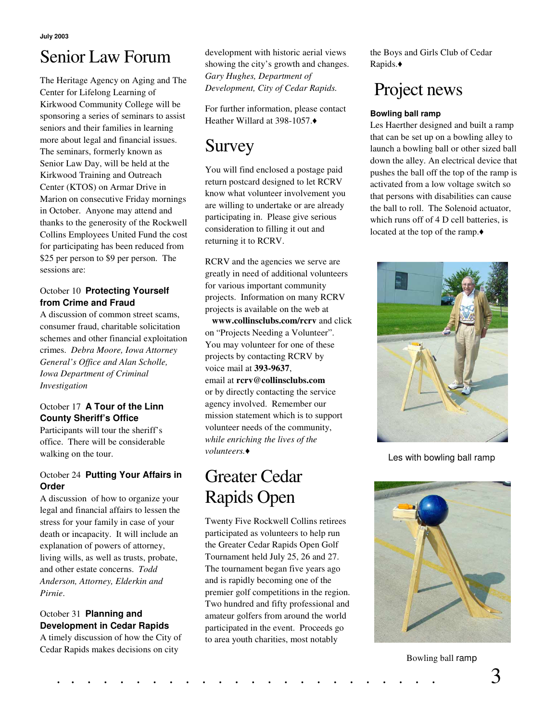# Senior Law Forum

The Heritage Agency on Aging and The Center for Lifelong Learning of Kirkwood Community College will be sponsoring a series of seminars to assist seniors and their families in learning more about legal and financial issues. The seminars, formerly known as Senior Law Day, will be held at the Kirkwood Training and Outreach Center (KTOS) on Armar Drive in Marion on consecutive Friday mornings in October. Anyone may attend and thanks to the generosity of the Rockwell Collins Employees United Fund the cost for participating has been reduced from \$25 per person to \$9 per person. The sessions are:

#### October 10 **Protecting Yourself from Crime and Fraud**

A discussion of common street scams, consumer fraud, charitable solicitation schemes and other financial exploitation crimes. *Debra Moore, Iowa Attorney General's Office and Alan Scholle, Iowa Department of Criminal Investigation*

#### October 17 **A Tour of the Linn County Sheriff's Office**

Participants will tour the sheriff's office. There will be considerable walking on the tour.

#### October 24 **Putting Your Affairs in Order**

A discussion of how to organize your legal and financial affairs to lessen the stress for your family in case of your death or incapacity. It will include an explanation of powers of attorney, living wills, as well as trusts, probate, and other estate concerns. *Todd Anderson, Attorney, Elderkin and Pirnie*.

#### October 31 **Planning and Development in Cedar Rapids**

A timely discussion of how the City of Cedar Rapids makes decisions on city

development with historic aerial views showing the city's growth and changes. *Gary Hughes, Department of Development, City of Cedar Rapids.*

For further information, please contact Heather Willard at 398-1057.♦

# Survey

You will find enclosed a postage paid return postcard designed to let RCRV know what volunteer involvement you are willing to undertake or are already participating in. Please give serious consideration to filling it out and returning it to RCRV.

RCRV and the agencies we serve are greatly in need of additional volunteers for various important community projects. Information on many RCRV projects is available on the web at

**www.collinsclubs.com/rcrv** and click on "Projects Needing a Volunteer". You may volunteer for one of these projects by contacting RCRV by voice mail at **393-9637**, email at **rcrv@collinsclubs.com** or by directly contacting the service agency involved. Remember our mission statement which is to support volunteer needs of the community, *while enriching the lives of the volunteers.*

## Greater Cedar Rapids Open

Twenty Five Rockwell Collins retirees participated as volunteers to help run the Greater Cedar Rapids Open Golf Tournament held July 25, 26 and 27. The tournament began five years ago and is rapidly becoming one of the premier golf competitions in the region. Two hundred and fifty professional and amateur golfers from around the world participated in the event. Proceeds go to area youth charities, most notably

the Boys and Girls Club of Cedar Rapids.

## Project news

#### **Bowling ball ramp**

Les Haerther designed and built a ramp that can be set up on a bowling alley to launch a bowling ball or other sized ball down the alley. An electrical device that pushes the ball off the top of the ramp is activated from a low voltage switch so that persons with disabilities can cause the ball to roll. The Solenoid actuator, which runs off of 4 D cell batteries, is located at the top of the ramp.



Les with bowling ball ramp